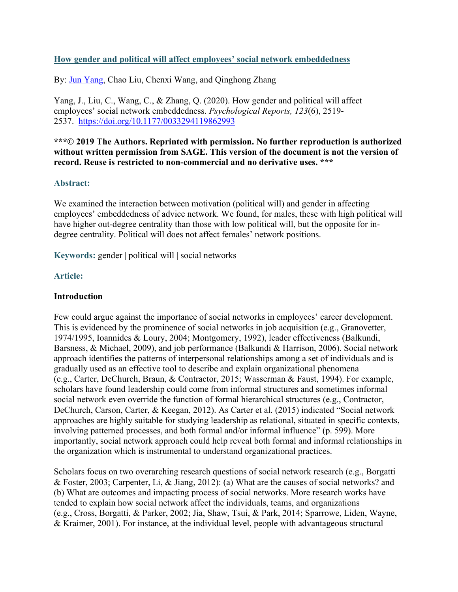# **How gender and political will affect employees' social network embeddedness**

By: [Jun Yang,](https://libres.uncg.edu/ir/uncg/clist.aspx?id=25889) Chao Liu, Chenxi Wang, and Qinghong Zhang

Yang, J., Liu, C., Wang, C., & Zhang, Q. (2020). How gender and political will affect employees' social network embeddedness. *Psychological Reports, 123*(6), 2519- 2537. <https://doi.org/10.1177/0033294119862993>

# **\*\*\*© 2019 The Authors. Reprinted with permission. No further reproduction is authorized without written permission from SAGE. This version of the document is not the version of record. Reuse is restricted to non-commercial and no derivative uses. \*\*\***

# **Abstract:**

We examined the interaction between motivation (political will) and gender in affecting employees' embeddedness of advice network. We found, for males, these with high political will have higher out-degree centrality than those with low political will, but the opposite for indegree centrality. Political will does not affect females' network positions.

**Keywords:** gender | political will | social networks

# **Article:**

# **Introduction**

Few could argue against the importance of social networks in employees' career development. This is evidenced by the prominence of social networks in job acquisition (e.g., Granovetter, 1974/1995, Ioannides & Loury, 2004; Montgomery, 1992), leader effectiveness (Balkundi, Barsness, & Michael, 2009), and job performance (Balkundi & Harrison, 2006). Social network approach identifies the patterns of interpersonal relationships among a set of individuals and is gradually used as an effective tool to describe and explain organizational phenomena (e.g., Carter, DeChurch, Braun, & Contractor, 2015; Wasserman & Faust, 1994). For example, scholars have found leadership could come from informal structures and sometimes informal social network even override the function of formal hierarchical structures (e.g., Contractor, DeChurch, Carson, Carter, & Keegan, 2012). As Carter et al. (2015) indicated "Social network approaches are highly suitable for studying leadership as relational, situated in specific contexts, involving patterned processes, and both formal and/or informal influence" (p. 599). More importantly, social network approach could help reveal both formal and informal relationships in the organization which is instrumental to understand organizational practices.

Scholars focus on two overarching research questions of social network research (e.g., Borgatti & Foster, 2003; Carpenter, Li, & Jiang, 2012): (a) What are the causes of social networks? and (b) What are outcomes and impacting process of social networks. More research works have tended to explain how social network affect the individuals, teams, and organizations (e.g., Cross, Borgatti, & Parker, 2002; Jia, Shaw, Tsui, & Park, 2014; Sparrowe, Liden, Wayne, & Kraimer, 2001). For instance, at the individual level, people with advantageous structural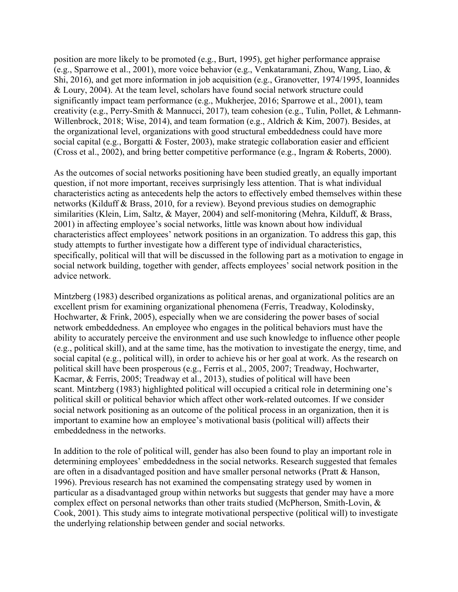position are more likely to be promoted (e.g., Burt, 1995), get higher performance appraise (e.g., Sparrowe et al., 2001), more voice behavior (e.g., Venkataramani, Zhou, Wang, Liao, & Shi, 2016), and get more information in job acquisition (e.g., Granovetter, 1974/1995, Ioannides & Loury, 2004). At the team level, scholars have found social network structure could significantly impact team performance (e.g., Mukherjee, 2016; Sparrowe et al., 2001), team creativity (e.g., Perry-Smith & Mannucci, 2017), team cohesion (e.g., Tulin, Pollet, & Lehmann-Willenbrock, 2018; Wise, 2014), and team formation (e.g., Aldrich & Kim, 2007). Besides, at the organizational level, organizations with good structural embeddedness could have more social capital (e.g., Borgatti & Foster, 2003), make strategic collaboration easier and efficient (Cross et al., 2002), and bring better competitive performance (e.g., Ingram & Roberts, 2000).

As the outcomes of social networks positioning have been studied greatly, an equally important question, if not more important, receives surprisingly less attention. That is what individual characteristics acting as antecedents help the actors to effectively embed themselves within these networks (Kilduff & Brass, 2010, for a review). Beyond previous studies on demographic similarities (Klein, Lim, Saltz, & Mayer, 2004) and self-monitoring (Mehra, Kilduff, & Brass, 2001) in affecting employee's social networks, little was known about how individual characteristics affect employees' network positions in an organization. To address this gap, this study attempts to further investigate how a different type of individual characteristics, specifically, political will that will be discussed in the following part as a motivation to engage in social network building, together with gender, affects employees' social network position in the advice network.

Mintzberg (1983) described organizations as political arenas, and organizational politics are an excellent prism for examining organizational phenomena (Ferris, Treadway, Kolodinsky, Hochwarter, & Frink, 2005), especially when we are considering the power bases of social network embeddedness. An employee who engages in the political behaviors must have the ability to accurately perceive the environment and use such knowledge to influence other people (e.g., political skill), and at the same time, has the motivation to investigate the energy, time, and social capital (e.g., political will), in order to achieve his or her goal at work. As the research on political skill have been prosperous (e.g., Ferris et al., 2005, 2007; Treadway, Hochwarter, Kacmar, & Ferris, 2005; Treadway et al., 2013), studies of political will have been scant. Mintzberg (1983) highlighted political will occupied a critical role in determining one's political skill or political behavior which affect other work-related outcomes. If we consider social network positioning as an outcome of the political process in an organization, then it is important to examine how an employee's motivational basis (political will) affects their embeddedness in the networks.

In addition to the role of political will, gender has also been found to play an important role in determining employees' embeddedness in the social networks. Research suggested that females are often in a disadvantaged position and have smaller personal networks (Pratt & Hanson, 1996). Previous research has not examined the compensating strategy used by women in particular as a disadvantaged group within networks but suggests that gender may have a more complex effect on personal networks than other traits studied (McPherson, Smith-Lovin, & Cook, 2001). This study aims to integrate motivational perspective (political will) to investigate the underlying relationship between gender and social networks.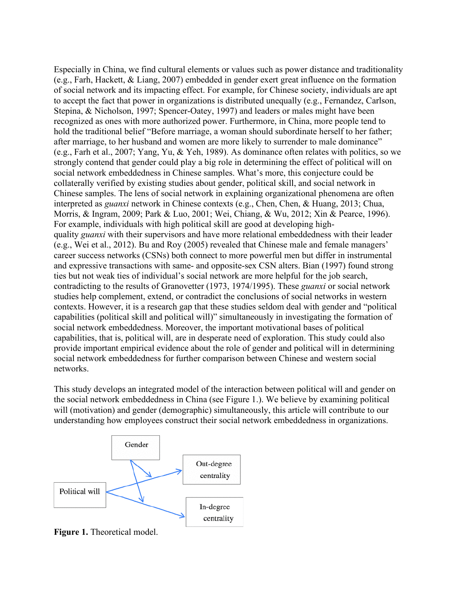Especially in China, we find cultural elements or values such as power distance and traditionality (e.g., Farh, Hackett, & Liang, 2007) embedded in gender exert great influence on the formation of social network and its impacting effect. For example, for Chinese society, individuals are apt to accept the fact that power in organizations is distributed unequally (e.g., Fernandez, Carlson, Stepina, & Nicholson, 1997; Spencer-Oatey, 1997) and leaders or males might have been recognized as ones with more authorized power. Furthermore, in China, more people tend to hold the traditional belief "Before marriage, a woman should subordinate herself to her father; after marriage, to her husband and women are more likely to surrender to male dominance" (e.g., Farh et al., 2007; Yang, Yu, & Yeh, 1989). As dominance often relates with politics, so we strongly contend that gender could play a big role in determining the effect of political will on social network embeddedness in Chinese samples. What's more, this conjecture could be collaterally verified by existing studies about gender, political skill, and social network in Chinese samples. The lens of social network in explaining organizational phenomena are often interpreted as *guanxi* network in Chinese contexts (e.g., Chen, Chen, & Huang, 2013; Chua, Morris, & Ingram, 2009; Park & Luo, 2001; Wei, Chiang, & Wu, 2012; Xin & Pearce, 1996). For example, individuals with high political skill are good at developing highquality *guanxi* with their supervisors and have more relational embeddedness with their leader (e.g., Wei et al., 2012). Bu and Roy (2005) revealed that Chinese male and female managers' career success networks (CSNs) both connect to more powerful men but differ in instrumental and expressive transactions with same- and opposite-sex CSN alters. Bian (1997) found strong ties but not weak ties of individual's social network are more helpful for the job search, contradicting to the results of Granovetter (1973, 1974/1995). These *guanxi* or social network studies help complement, extend, or contradict the conclusions of social networks in western contexts. However, it is a research gap that these studies seldom deal with gender and "political capabilities (political skill and political will)" simultaneously in investigating the formation of social network embeddedness. Moreover, the important motivational bases of political capabilities, that is, political will, are in desperate need of exploration. This study could also provide important empirical evidence about the role of gender and political will in determining social network embeddedness for further comparison between Chinese and western social networks.

This study develops an integrated model of the interaction between political will and gender on the social network embeddedness in China (see Figure 1.). We believe by examining political will (motivation) and gender (demographic) simultaneously, this article will contribute to our understanding how employees construct their social network embeddedness in organizations.



**Figure 1.** Theoretical model.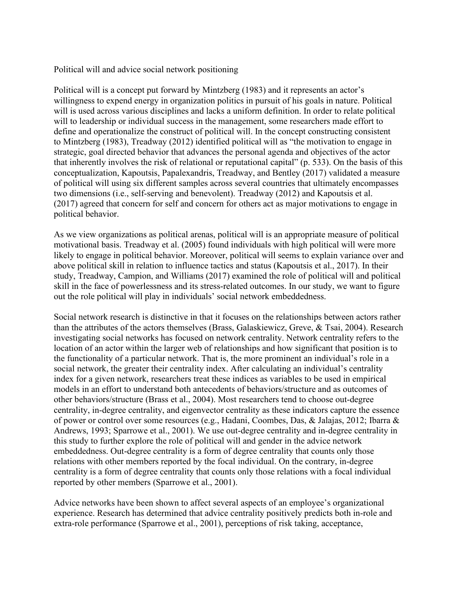Political will and advice social network positioning

Political will is a concept put forward by Mintzberg (1983) and it represents an actor's willingness to expend energy in organization politics in pursuit of his goals in nature. Political will is used across various disciplines and lacks a uniform definition. In order to relate political will to leadership or individual success in the management, some researchers made effort to define and operationalize the construct of political will. In the concept constructing consistent to Mintzberg (1983), Treadway (2012) identified political will as "the motivation to engage in strategic, goal directed behavior that advances the personal agenda and objectives of the actor that inherently involves the risk of relational or reputational capital" (p. 533). On the basis of this conceptualization, Kapoutsis, Papalexandris, Treadway, and Bentley (2017) validated a measure of political will using six different samples across several countries that ultimately encompasses two dimensions (i.e., self-serving and benevolent). Treadway (2012) and Kapoutsis et al. (2017) agreed that concern for self and concern for others act as major motivations to engage in political behavior.

As we view organizations as political arenas, political will is an appropriate measure of political motivational basis. Treadway et al. (2005) found individuals with high political will were more likely to engage in political behavior. Moreover, political will seems to explain variance over and above political skill in relation to influence tactics and status (Kapoutsis et al., 2017). In their study, Treadway, Campion, and Williams (2017) examined the role of political will and political skill in the face of powerlessness and its stress-related outcomes. In our study, we want to figure out the role political will play in individuals' social network embeddedness.

Social network research is distinctive in that it focuses on the relationships between actors rather than the attributes of the actors themselves (Brass, Galaskiewicz, Greve, & Tsai, 2004). Research investigating social networks has focused on network centrality. Network centrality refers to the location of an actor within the larger web of relationships and how significant that position is to the functionality of a particular network. That is, the more prominent an individual's role in a social network, the greater their centrality index. After calculating an individual's centrality index for a given network, researchers treat these indices as variables to be used in empirical models in an effort to understand both antecedents of behaviors/structure and as outcomes of other behaviors/structure (Brass et al., 2004). Most researchers tend to choose out-degree centrality, in-degree centrality, and eigenvector centrality as these indicators capture the essence of power or control over some resources (e.g., Hadani, Coombes, Das, & Jalajas, 2012; Ibarra & Andrews, 1993; Sparrowe et al., 2001). We use out-degree centrality and in-degree centrality in this study to further explore the role of political will and gender in the advice network embeddedness. Out-degree centrality is a form of degree centrality that counts only those relations with other members reported by the focal individual. On the contrary, in-degree centrality is a form of degree centrality that counts only those relations with a focal individual reported by other members (Sparrowe et al., 2001).

Advice networks have been shown to affect several aspects of an employee's organizational experience. Research has determined that advice centrality positively predicts both in-role and extra-role performance (Sparrowe et al., 2001), perceptions of risk taking, acceptance,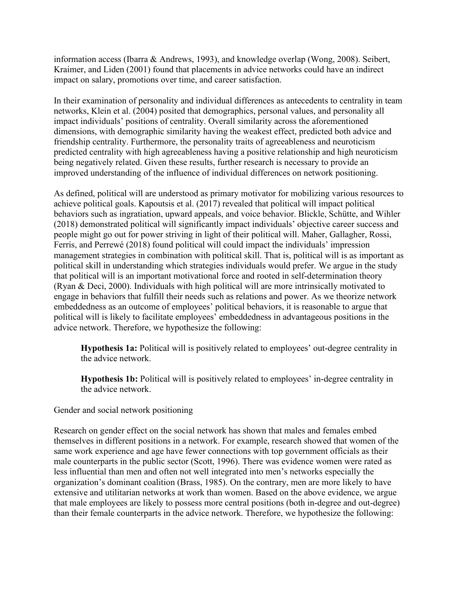information access (Ibarra & Andrews, 1993), and knowledge overlap (Wong, 2008). Seibert, Kraimer, and Liden (2001) found that placements in advice networks could have an indirect impact on salary, promotions over time, and career satisfaction.

In their examination of personality and individual differences as antecedents to centrality in team networks, Klein et al. (2004) posited that demographics, personal values, and personality all impact individuals' positions of centrality. Overall similarity across the aforementioned dimensions, with demographic similarity having the weakest effect, predicted both advice and friendship centrality. Furthermore, the personality traits of agreeableness and neuroticism predicted centrality with high agreeableness having a positive relationship and high neuroticism being negatively related. Given these results, further research is necessary to provide an improved understanding of the influence of individual differences on network positioning.

As defined, political will are understood as primary motivator for mobilizing various resources to achieve political goals. Kapoutsis et al. (2017) revealed that political will impact political behaviors such as ingratiation, upward appeals, and voice behavior. Blickle, Schütte, and Wihler (2018) demonstrated political will significantly impact individuals' objective career success and people might go out for power striving in light of their political will. Maher, Gallagher, Rossi, Ferris, and Perrewé (2018) found political will could impact the individuals' impression management strategies in combination with political skill. That is, political will is as important as political skill in understanding which strategies individuals would prefer. We argue in the study that political will is an important motivational force and rooted in self-determination theory (Ryan & Deci, 2000). Individuals with high political will are more intrinsically motivated to engage in behaviors that fulfill their needs such as relations and power. As we theorize network embeddedness as an outcome of employees' political behaviors, it is reasonable to argue that political will is likely to facilitate employees' embeddedness in advantageous positions in the advice network. Therefore, we hypothesize the following:

**Hypothesis 1a:** Political will is positively related to employees' out-degree centrality in the advice network.

**Hypothesis 1b:** Political will is positively related to employees' in-degree centrality in the advice network.

Gender and social network positioning

Research on gender effect on the social network has shown that males and females embed themselves in different positions in a network. For example, research showed that women of the same work experience and age have fewer connections with top government officials as their male counterparts in the public sector (Scott, 1996). There was evidence women were rated as less influential than men and often not well integrated into men's networks especially the organization's dominant coalition (Brass, 1985). On the contrary, men are more likely to have extensive and utilitarian networks at work than women. Based on the above evidence, we argue that male employees are likely to possess more central positions (both in-degree and out-degree) than their female counterparts in the advice network. Therefore, we hypothesize the following: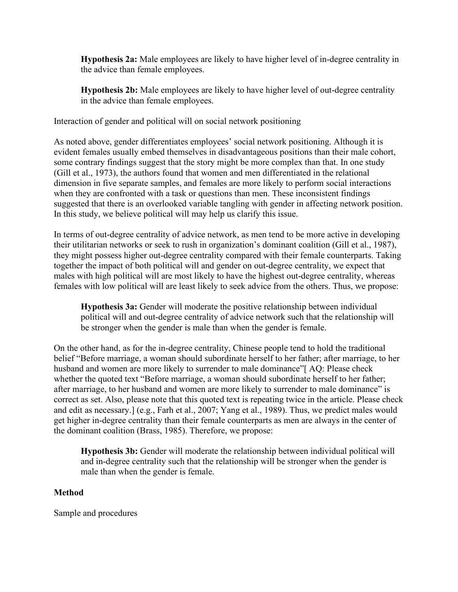**Hypothesis 2a:** Male employees are likely to have higher level of in-degree centrality in the advice than female employees.

**Hypothesis 2b:** Male employees are likely to have higher level of out-degree centrality in the advice than female employees.

Interaction of gender and political will on social network positioning

As noted above, gender differentiates employees' social network positioning. Although it is evident females usually embed themselves in disadvantageous positions than their male cohort, some contrary findings suggest that the story might be more complex than that. In one study (Gill et al., 1973), the authors found that women and men differentiated in the relational dimension in five separate samples, and females are more likely to perform social interactions when they are confronted with a task or questions than men. These inconsistent findings suggested that there is an overlooked variable tangling with gender in affecting network position. In this study, we believe political will may help us clarify this issue.

In terms of out-degree centrality of advice network, as men tend to be more active in developing their utilitarian networks or seek to rush in organization's dominant coalition (Gill et al., 1987), they might possess higher out-degree centrality compared with their female counterparts. Taking together the impact of both political will and gender on out-degree centrality, we expect that males with high political will are most likely to have the highest out-degree centrality, whereas females with low political will are least likely to seek advice from the others. Thus, we propose:

**Hypothesis 3a:** Gender will moderate the positive relationship between individual political will and out-degree centrality of advice network such that the relationship will be stronger when the gender is male than when the gender is female.

On the other hand, as for the in-degree centrality, Chinese people tend to hold the traditional belief "Before marriage, a woman should subordinate herself to her father; after marriage, to her husband and women are more likely to surrender to male dominance"[AQ: Please check whether the quoted text "Before marriage, a woman should subordinate herself to her father; after marriage, to her husband and women are more likely to surrender to male dominance" is correct as set. Also, please note that this quoted text is repeating twice in the article. Please check and edit as necessary.] (e.g., Farh et al., 2007; Yang et al., 1989). Thus, we predict males would get higher in-degree centrality than their female counterparts as men are always in the center of the dominant coalition (Brass, 1985). Therefore, we propose:

**Hypothesis 3b:** Gender will moderate the relationship between individual political will and in-degree centrality such that the relationship will be stronger when the gender is male than when the gender is female.

# **Method**

Sample and procedures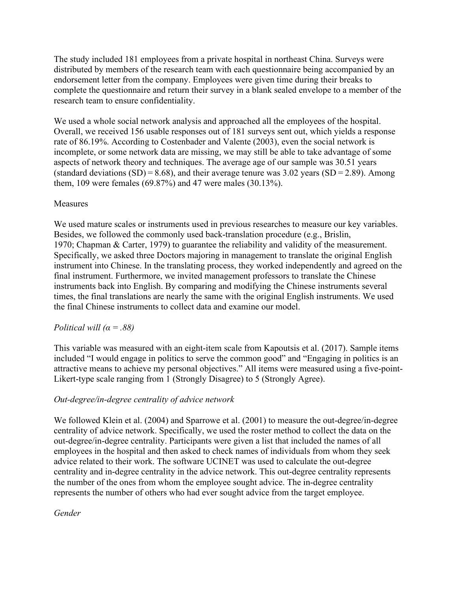The study included 181 employees from a private hospital in northeast China. Surveys were distributed by members of the research team with each questionnaire being accompanied by an endorsement letter from the company. Employees were given time during their breaks to complete the questionnaire and return their survey in a blank sealed envelope to a member of the research team to ensure confidentiality.

We used a whole social network analysis and approached all the employees of the hospital. Overall, we received 156 usable responses out of 181 surveys sent out, which yields a response rate of 86.19%. According to Costenbader and Valente (2003), even the social network is incomplete, or some network data are missing, we may still be able to take advantage of some aspects of network theory and techniques. The average age of our sample was 30.51 years (standard deviations  $(SD) = 8.68$ ), and their average tenure was 3.02 years  $(SD = 2.89)$ . Among them, 109 were females (69.87%) and 47 were males (30.13%).

### **Measures**

We used mature scales or instruments used in previous researches to measure our key variables. Besides, we followed the commonly used back-translation procedure (e.g., Brislin, 1970; Chapman & Carter, 1979) to guarantee the reliability and validity of the measurement. Specifically, we asked three Doctors majoring in management to translate the original English instrument into Chinese. In the translating process, they worked independently and agreed on the final instrument. Furthermore, we invited management professors to translate the Chinese instruments back into English. By comparing and modifying the Chinese instruments several times, the final translations are nearly the same with the original English instruments. We used the final Chinese instruments to collect data and examine our model.

# *Political will (α = .88)*

This variable was measured with an eight-item scale from Kapoutsis et al. (2017). Sample items included "I would engage in politics to serve the common good" and "Engaging in politics is an attractive means to achieve my personal objectives." All items were measured using a five-point-Likert-type scale ranging from 1 (Strongly Disagree) to 5 (Strongly Agree).

# *Out-degree/in-degree centrality of advice network*

We followed Klein et al. (2004) and Sparrowe et al. (2001) to measure the out-degree/in-degree centrality of advice network. Specifically, we used the roster method to collect the data on the out-degree/in-degree centrality. Participants were given a list that included the names of all employees in the hospital and then asked to check names of individuals from whom they seek advice related to their work. The software UCINET was used to calculate the out-degree centrality and in-degree centrality in the advice network. This out-degree centrality represents the number of the ones from whom the employee sought advice. The in-degree centrality represents the number of others who had ever sought advice from the target employee.

#### *Gender*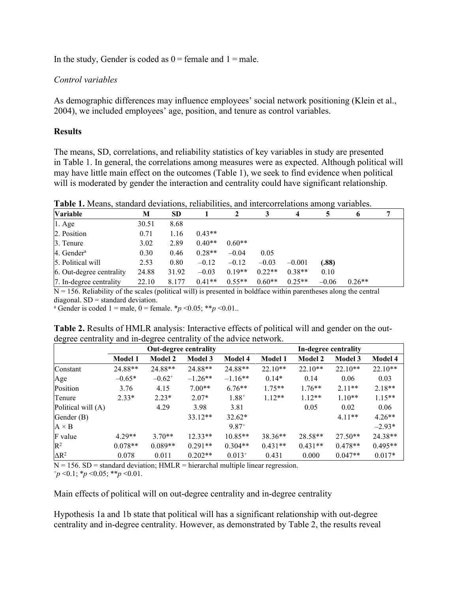In the study, Gender is coded as  $0 =$ female and  $1 =$ male.

#### *Control variables*

As demographic differences may influence employees' social network positioning (Klein et al., 2004), we included employees' age, position, and tenure as control variables.

#### **Results**

The means, SD, correlations, and reliability statistics of key variables in study are presented in Table 1. In general, the correlations among measures were as expected. Although political will may have little main effect on the outcomes (Table 1), we seek to find evidence when political will is moderated by gender the interaction and centrality could have significant relationship.

**Table 1.** Means, standard deviations, reliabilities, and intercorrelations among variables.

| <b>Variable</b>          | M     | <b>SD</b> |          |          |          |          | ັ       | 0        |  |
|--------------------------|-------|-----------|----------|----------|----------|----------|---------|----------|--|
| $1. \text{Age}$          | 30.51 | 8.68      |          |          |          |          |         |          |  |
| 2. Position              | 0.71  | 1.16      | $0.43**$ |          |          |          |         |          |  |
| 3. Tenure                | 3.02  | 2.89      | $0.40**$ | $0.60**$ |          |          |         |          |  |
| 4. Gender <sup>a</sup>   | 0.30  | 0.46      | $0.28**$ | $-0.04$  | 0.05     |          |         |          |  |
| 5. Political will        | 2.53  | 0.80      | $-0.12$  | $-0.12$  | $-0.03$  | $-0.001$ | (.88)   |          |  |
| 6. Out-degree centrality | 24.88 | 31.92     | $-0.03$  | $0.19**$ | $0.22**$ | $0.38**$ | 0.10    |          |  |
| 7. In-degree centrality  | 22.10 | 8.177     | $0.41**$ | $0.55**$ | $0.60**$ | $0.25**$ | $-0.06$ | $0.26**$ |  |

 $N = 156$ . Reliability of the scales (political will) is presented in boldface within parentheses along the central diagonal. SD = standard deviation.

<sup>a</sup> Gender is coded 1 = male, 0 = female.  $* p$  <0.05;  $* p$  <0.01..

| Table 2. Results of HMLR analysis: Interactive effects of political will and gender on the out- |  |  |  |
|-------------------------------------------------------------------------------------------------|--|--|--|
| degree centrality and in-degree centrality of the advice network.                               |  |  |  |

|                    | <b>Out-degree centrality</b> |           |           |                | In-degree centrality |           |           |                |  |
|--------------------|------------------------------|-----------|-----------|----------------|----------------------|-----------|-----------|----------------|--|
|                    | Model 1                      | Model 2   | Model 3   | <b>Model 4</b> | Model 1              | Model 2   | Model 3   | <b>Model 4</b> |  |
| Constant           | 24.88**                      | 24.88**   | 24.88**   | 24.88**        | $22.10**$            | $22.10**$ | $22.10**$ | $22.10**$      |  |
| Age                | $-0.65*$                     | $-0.62^+$ | $-1.26**$ | $-1.16**$      | $0.14*$              | 0.14      | 0.06      | 0.03           |  |
| Position           | 3.76                         | 4.15      | $7.00**$  | $6.76**$       | $1.75**$             | $1.76**$  | $2.11**$  | $2.18**$       |  |
| Tenure             | $2.33*$                      | $2.23*$   | $2.07*$   | $1.88^{+}$     | $1.12**$             | $1.12**$  | $1.10**$  | $1.15**$       |  |
| Political will (A) |                              | 4.29      | 3.98      | 3.81           |                      | 0.05      | 0.02      | 0.06           |  |
| Gender (B)         |                              |           | $33.12**$ | $32.62*$       |                      |           | $4.11**$  | $4.26**$       |  |
| $A \times B$       |                              |           |           | $9.87^{+}$     |                      |           |           | $-2.93*$       |  |
| F value            | $4.29**$                     | $3.70**$  | $12.33**$ | $10.85**$      | $38.36**$            | 28.58**   | $27.50**$ | 24.38**        |  |
| $\mathbb{R}^2$     | $0.078**$                    | $0.089**$ | $0.291**$ | $0.304**$      | $0.431**$            | $0.431**$ | $0.478**$ | $0.495**$      |  |
| $\Delta R^2$       | 0.078                        | 0.011     | $0.202**$ | $0.013^{+}$    | 0.431                | 0.000     | $0.047**$ | $0.017*$       |  |

N = 156. SD = standard deviation; HMLR = hierarchal multiple linear regression.  $^{+}p$  <0.1; \**p* <0.05; \*\**p* <0.01.

Main effects of political will on out-degree centrality and in-degree centrality

Hypothesis 1a and 1b state that political will has a significant relationship with out-degree centrality and in-degree centrality. However, as demonstrated by Table 2, the results reveal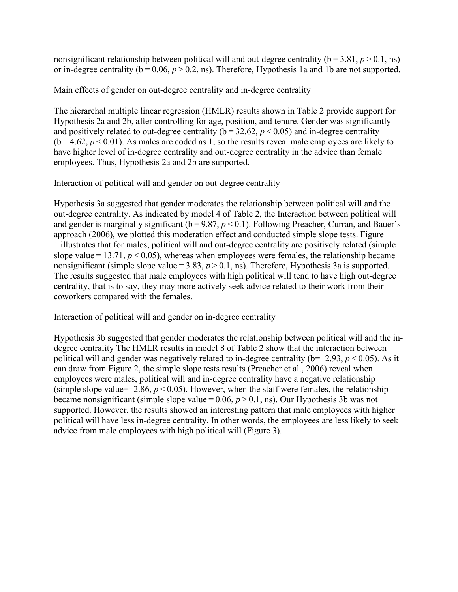nonsignificant relationship between political will and out-degree centrality ( $b = 3.81, p > 0.1$ , ns) or in-degree centrality ( $b = 0.06$ ,  $p > 0.2$ , ns). Therefore, Hypothesis 1a and 1b are not supported.

Main effects of gender on out-degree centrality and in-degree centrality

The hierarchal multiple linear regression (HMLR) results shown in Table 2 provide support for Hypothesis 2a and 2b, after controlling for age, position, and tenure. Gender was significantly and positively related to out-degree centrality ( $b = 32.62$ ,  $p < 0.05$ ) and in-degree centrality  $(b = 4.62, p < 0.01)$ . As males are coded as 1, so the results reveal male employees are likely to have higher level of in-degree centrality and out-degree centrality in the advice than female employees. Thus, Hypothesis 2a and 2b are supported.

Interaction of political will and gender on out-degree centrality

Hypothesis 3a suggested that gender moderates the relationship between political will and the out-degree centrality. As indicated by model 4 of Table 2, the Interaction between political will and gender is marginally significant ( $b = 9.87$ ,  $p < 0.1$ ). Following Preacher, Curran, and Bauer's approach (2006), we plotted this moderation effect and conducted simple slope tests. Figure 1 illustrates that for males, political will and out-degree centrality are positively related (simple slope value $=$ 13.71,  $p$  < 0.05), whereas when employees were females, the relationship became nonsignificant (simple slope value =  $3.83$ ,  $p > 0.1$ , ns). Therefore, Hypothesis 3a is supported. The results suggested that male employees with high political will tend to have high out-degree centrality, that is to say, they may more actively seek advice related to their work from their coworkers compared with the females.

Interaction of political will and gender on in-degree centrality

Hypothesis 3b suggested that gender moderates the relationship between political will and the indegree centrality The HMLR results in model 8 of Table 2 show that the interaction between political will and gender was negatively related to in-degree centrality (b=−2.93, *p* < 0.05). As it can draw from Figure 2, the simple slope tests results (Preacher et al., 2006) reveal when employees were males, political will and in-degree centrality have a negative relationship (simple slope value=−2.86,  $p < 0.05$ ). However, when the staff were females, the relationship became nonsignificant (simple slope value  $= 0.06$ ,  $p > 0.1$ , ns). Our Hypothesis 3b was not supported. However, the results showed an interesting pattern that male employees with higher political will have less in-degree centrality. In other words, the employees are less likely to seek advice from male employees with high political will (Figure 3).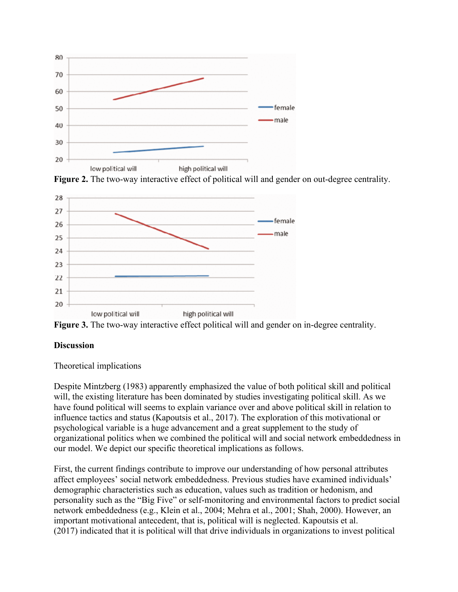





**Figure 3.** The two-way interactive effect political will and gender on in-degree centrality.

#### **Discussion**

Theoretical implications

Despite Mintzberg (1983) apparently emphasized the value of both political skill and political will, the existing literature has been dominated by studies investigating political skill. As we have found political will seems to explain variance over and above political skill in relation to influence tactics and status (Kapoutsis et al., 2017). The exploration of this motivational or psychological variable is a huge advancement and a great supplement to the study of organizational politics when we combined the political will and social network embeddedness in our model. We depict our specific theoretical implications as follows.

First, the current findings contribute to improve our understanding of how personal attributes affect employees' social network embeddedness. Previous studies have examined individuals' demographic characteristics such as education, values such as tradition or hedonism, and personality such as the "Big Five" or self-monitoring and environmental factors to predict social network embeddedness (e.g., Klein et al., 2004; Mehra et al., 2001; Shah, 2000). However, an important motivational antecedent, that is, political will is neglected. Kapoutsis et al. (2017) indicated that it is political will that drive individuals in organizations to invest political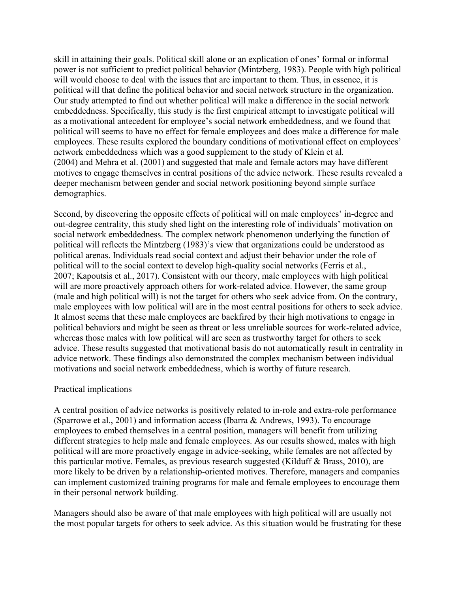skill in attaining their goals. Political skill alone or an explication of ones' formal or informal power is not sufficient to predict political behavior (Mintzberg, 1983). People with high political will would choose to deal with the issues that are important to them. Thus, in essence, it is political will that define the political behavior and social network structure in the organization. Our study attempted to find out whether political will make a difference in the social network embeddedness. Specifically, this study is the first empirical attempt to investigate political will as a motivational antecedent for employee's social network embeddedness, and we found that political will seems to have no effect for female employees and does make a difference for male employees. These results explored the boundary conditions of motivational effect on employees' network embeddedness which was a good supplement to the study of Klein et al. (2004) and Mehra et al. (2001) and suggested that male and female actors may have different motives to engage themselves in central positions of the advice network. These results revealed a deeper mechanism between gender and social network positioning beyond simple surface demographics.

Second, by discovering the opposite effects of political will on male employees' in-degree and out-degree centrality, this study shed light on the interesting role of individuals' motivation on social network embeddedness. The complex network phenomenon underlying the function of political will reflects the Mintzberg (1983)'s view that organizations could be understood as political arenas. Individuals read social context and adjust their behavior under the role of political will to the social context to develop high-quality social networks (Ferris et al., 2007; Kapoutsis et al., 2017). Consistent with our theory, male employees with high political will are more proactively approach others for work-related advice. However, the same group (male and high political will) is not the target for others who seek advice from. On the contrary, male employees with low political will are in the most central positions for others to seek advice. It almost seems that these male employees are backfired by their high motivations to engage in political behaviors and might be seen as threat or less unreliable sources for work-related advice, whereas those males with low political will are seen as trustworthy target for others to seek advice. These results suggested that motivational basis do not automatically result in centrality in advice network. These findings also demonstrated the complex mechanism between individual motivations and social network embeddedness, which is worthy of future research.

#### Practical implications

A central position of advice networks is positively related to in-role and extra-role performance (Sparrowe et al., 2001) and information access (Ibarra & Andrews, 1993). To encourage employees to embed themselves in a central position, managers will benefit from utilizing different strategies to help male and female employees. As our results showed, males with high political will are more proactively engage in advice-seeking, while females are not affected by this particular motive. Females, as previous research suggested (Kilduff & Brass, 2010), are more likely to be driven by a relationship-oriented motives. Therefore, managers and companies can implement customized training programs for male and female employees to encourage them in their personal network building.

Managers should also be aware of that male employees with high political will are usually not the most popular targets for others to seek advice. As this situation would be frustrating for these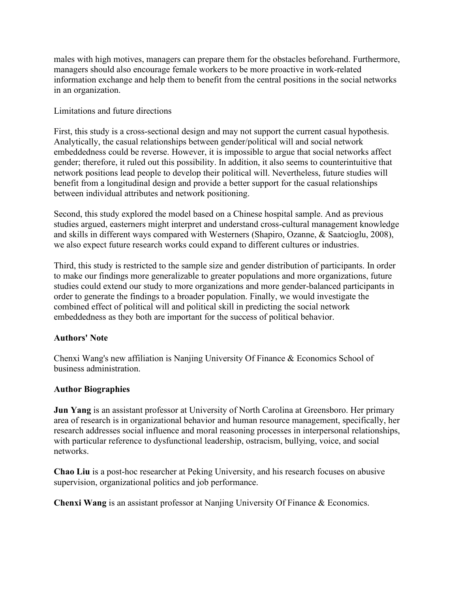males with high motives, managers can prepare them for the obstacles beforehand. Furthermore, managers should also encourage female workers to be more proactive in work-related information exchange and help them to benefit from the central positions in the social networks in an organization.

### Limitations and future directions

First, this study is a cross-sectional design and may not support the current casual hypothesis. Analytically, the casual relationships between gender/political will and social network embeddedness could be reverse. However, it is impossible to argue that social networks affect gender; therefore, it ruled out this possibility. In addition, it also seems to counterintuitive that network positions lead people to develop their political will. Nevertheless, future studies will benefit from a longitudinal design and provide a better support for the casual relationships between individual attributes and network positioning.

Second, this study explored the model based on a Chinese hospital sample. And as previous studies argued, easterners might interpret and understand cross-cultural management knowledge and skills in different ways compared with Westerners (Shapiro, Ozanne, & Saatcioglu, 2008), we also expect future research works could expand to different cultures or industries.

Third, this study is restricted to the sample size and gender distribution of participants. In order to make our findings more generalizable to greater populations and more organizations, future studies could extend our study to more organizations and more gender-balanced participants in order to generate the findings to a broader population. Finally, we would investigate the combined effect of political will and political skill in predicting the social network embeddedness as they both are important for the success of political behavior.

# **Authors' Note**

Chenxi Wang's new affiliation is Nanjing University Of Finance & Economics School of business administration.

# **Author Biographies**

**Jun Yang** is an assistant professor at University of North Carolina at Greensboro. Her primary area of research is in organizational behavior and human resource management, specifically, her research addresses social influence and moral reasoning processes in interpersonal relationships, with particular reference to dysfunctional leadership, ostracism, bullying, voice, and social networks.

**Chao Liu** is a post-hoc researcher at Peking University, and his research focuses on abusive supervision, organizational politics and job performance.

**Chenxi Wang** is an assistant professor at Nanjing University Of Finance & Economics.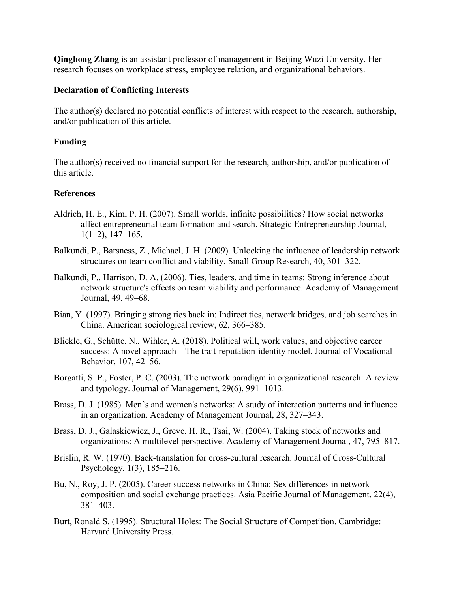**Qinghong Zhang** is an assistant professor of management in Beijing Wuzi University. Her research focuses on workplace stress, employee relation, and organizational behaviors.

### **Declaration of Conflicting Interests**

The author(s) declared no potential conflicts of interest with respect to the research, authorship, and/or publication of this article.

# **Funding**

The author(s) received no financial support for the research, authorship, and/or publication of this article.

### **References**

- Aldrich, H. E., Kim, P. H. (2007). Small worlds, infinite possibilities? How social networks affect entrepreneurial team formation and search. Strategic Entrepreneurship Journal,  $1(1-2)$ ,  $147-165$ .
- Balkundi, P., Barsness, Z., Michael, J. H. (2009). Unlocking the influence of leadership network structures on team conflict and viability. Small Group Research, 40, 301–322.
- Balkundi, P., Harrison, D. A. (2006). Ties, leaders, and time in teams: Strong inference about network structure's effects on team viability and performance. Academy of Management Journal, 49, 49–68.
- Bian, Y. (1997). Bringing strong ties back in: Indirect ties, network bridges, and job searches in China. American sociological review, 62, 366–385.
- Blickle, G., Schütte, N., Wihler, A. (2018). Political will, work values, and objective career success: A novel approach—The trait-reputation-identity model. Journal of Vocational Behavior, 107, 42–56.
- Borgatti, S. P., Foster, P. C. (2003). The network paradigm in organizational research: A review and typology. Journal of Management, 29(6), 991–1013.
- Brass, D. J. (1985). Men's and women's networks: A study of interaction patterns and influence in an organization. Academy of Management Journal, 28, 327–343.
- Brass, D. J., Galaskiewicz, J., Greve, H. R., Tsai, W. (2004). Taking stock of networks and organizations: A multilevel perspective. Academy of Management Journal, 47, 795–817.
- Brislin, R. W. (1970). Back-translation for cross-cultural research. Journal of Cross-Cultural Psychology, 1(3), 185–216.
- Bu, N., Roy, J. P. (2005). Career success networks in China: Sex differences in network composition and social exchange practices. Asia Pacific Journal of Management, 22(4), 381–403.
- Burt, Ronald S. (1995). Structural Holes: The Social Structure of Competition. Cambridge: Harvard University Press.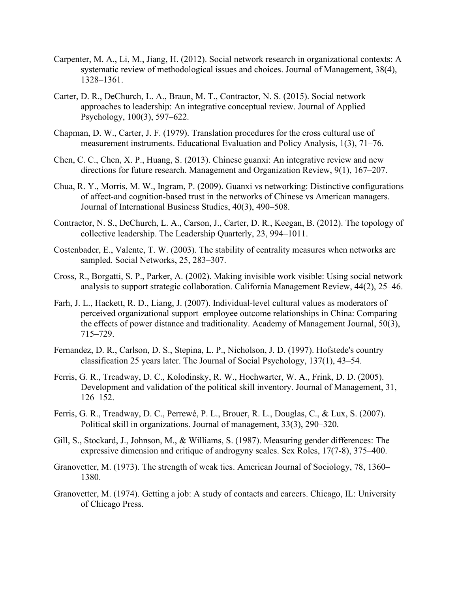- Carpenter, M. A., Li, M., Jiang, H. (2012). Social network research in organizational contexts: A systematic review of methodological issues and choices. Journal of Management, 38(4), 1328–1361.
- Carter, D. R., DeChurch, L. A., Braun, M. T., Contractor, N. S. (2015). Social network approaches to leadership: An integrative conceptual review. Journal of Applied Psychology, 100(3), 597–622.
- Chapman, D. W., Carter, J. F. (1979). Translation procedures for the cross cultural use of measurement instruments. Educational Evaluation and Policy Analysis, 1(3), 71–76.
- Chen, C. C., Chen, X. P., Huang, S. (2013). Chinese guanxi: An integrative review and new directions for future research. Management and Organization Review, 9(1), 167–207.
- Chua, R. Y., Morris, M. W., Ingram, P. (2009). Guanxi vs networking: Distinctive configurations of affect-and cognition-based trust in the networks of Chinese vs American managers. Journal of International Business Studies, 40(3), 490–508.
- Contractor, N. S., DeChurch, L. A., Carson, J., Carter, D. R., Keegan, B. (2012). The topology of collective leadership. The Leadership Quarterly, 23, 994–1011.
- Costenbader, E., Valente, T. W. (2003). The stability of centrality measures when networks are sampled. Social Networks, 25, 283–307.
- Cross, R., Borgatti, S. P., Parker, A. (2002). Making invisible work visible: Using social network analysis to support strategic collaboration. California Management Review, 44(2), 25–46.
- Farh, J. L., Hackett, R. D., Liang, J. (2007). Individual-level cultural values as moderators of perceived organizational support–employee outcome relationships in China: Comparing the effects of power distance and traditionality. Academy of Management Journal, 50(3), 715–729.
- Fernandez, D. R., Carlson, D. S., Stepina, L. P., Nicholson, J. D. (1997). Hofstede's country classification 25 years later. The Journal of Social Psychology, 137(1), 43–54.
- Ferris, G. R., Treadway, D. C., Kolodinsky, R. W., Hochwarter, W. A., Frink, D. D. (2005). Development and validation of the political skill inventory. Journal of Management, 31, 126–152.
- Ferris, G. R., Treadway, D. C., Perrewé, P. L., Brouer, R. L., Douglas, C., & Lux, S. (2007). Political skill in organizations. Journal of management, 33(3), 290–320.
- Gill, S., Stockard, J., Johnson, M., & Williams, S. (1987). Measuring gender differences: The expressive dimension and critique of androgyny scales. Sex Roles, 17(7-8), 375–400.
- Granovetter, M. (1973). The strength of weak ties. American Journal of Sociology, 78, 1360– 1380.
- Granovetter, M. (1974). Getting a job: A study of contacts and careers. Chicago, IL: University of Chicago Press.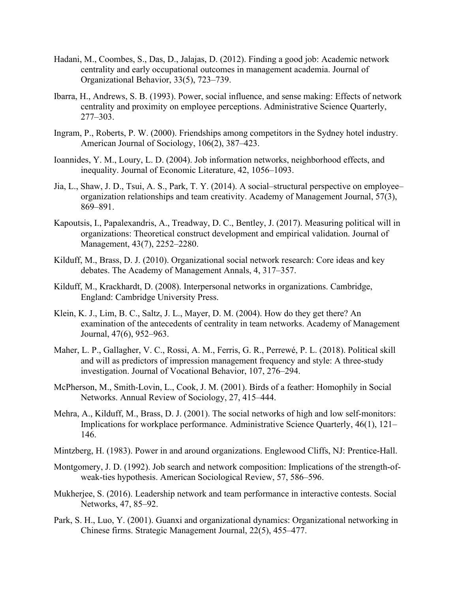- Hadani, M., Coombes, S., Das, D., Jalajas, D. (2012). Finding a good job: Academic network centrality and early occupational outcomes in management academia. Journal of Organizational Behavior, 33(5), 723–739.
- Ibarra, H., Andrews, S. B. (1993). Power, social influence, and sense making: Effects of network centrality and proximity on employee perceptions. Administrative Science Quarterly, 277–303.
- Ingram, P., Roberts, P. W. (2000). Friendships among competitors in the Sydney hotel industry. American Journal of Sociology, 106(2), 387–423.
- Ioannides, Y. M., Loury, L. D. (2004). Job information networks, neighborhood effects, and inequality. Journal of Economic Literature, 42, 1056–1093.
- Jia, L., Shaw, J. D., Tsui, A. S., Park, T. Y. (2014). A social–structural perspective on employee– organization relationships and team creativity. Academy of Management Journal, 57(3), 869–891.
- Kapoutsis, I., Papalexandris, A., Treadway, D. C., Bentley, J. (2017). Measuring political will in organizations: Theoretical construct development and empirical validation. Journal of Management, 43(7), 2252–2280.
- Kilduff, M., Brass, D. J. (2010). Organizational social network research: Core ideas and key debates. The Academy of Management Annals, 4, 317–357.
- Kilduff, M., Krackhardt, D. (2008). Interpersonal networks in organizations. Cambridge, England: Cambridge University Press.
- Klein, K. J., Lim, B. C., Saltz, J. L., Mayer, D. M. (2004). How do they get there? An examination of the antecedents of centrality in team networks. Academy of Management Journal, 47(6), 952–963.
- Maher, L. P., Gallagher, V. C., Rossi, A. M., Ferris, G. R., Perrewé, P. L. (2018). Political skill and will as predictors of impression management frequency and style: A three-study investigation. Journal of Vocational Behavior, 107, 276–294.
- McPherson, M., Smith-Lovin, L., Cook, J. M. (2001). Birds of a feather: Homophily in Social Networks. Annual Review of Sociology, 27, 415–444.
- Mehra, A., Kilduff, M., Brass, D. J. (2001). The social networks of high and low self-monitors: Implications for workplace performance. Administrative Science Quarterly, 46(1), 121– 146.
- Mintzberg, H. (1983). Power in and around organizations. Englewood Cliffs, NJ: Prentice-Hall.
- Montgomery, J. D. (1992). Job search and network composition: Implications of the strength-ofweak-ties hypothesis. American Sociological Review, 57, 586–596.
- Mukherjee, S. (2016). Leadership network and team performance in interactive contests. Social Networks, 47, 85–92.
- Park, S. H., Luo, Y. (2001). Guanxi and organizational dynamics: Organizational networking in Chinese firms. Strategic Management Journal, 22(5), 455–477.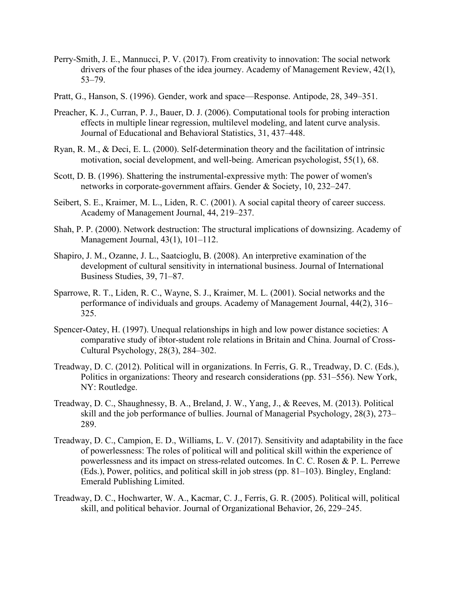- Perry-Smith, J. E., Mannucci, P. V. (2017). From creativity to innovation: The social network drivers of the four phases of the idea journey. Academy of Management Review, 42(1), 53–79.
- Pratt, G., Hanson, S. (1996). Gender, work and space—Response. Antipode, 28, 349–351.
- Preacher, K. J., Curran, P. J., Bauer, D. J. (2006). Computational tools for probing interaction effects in multiple linear regression, multilevel modeling, and latent curve analysis. Journal of Educational and Behavioral Statistics, 31, 437–448.
- Ryan, R. M., & Deci, E. L. (2000). Self-determination theory and the facilitation of intrinsic motivation, social development, and well-being. American psychologist, 55(1), 68.
- Scott, D. B. (1996). Shattering the instrumental-expressive myth: The power of women's networks in corporate-government affairs. Gender & Society, 10, 232–247.
- Seibert, S. E., Kraimer, M. L., Liden, R. C. (2001). A social capital theory of career success. Academy of Management Journal, 44, 219–237.
- Shah, P. P. (2000). Network destruction: The structural implications of downsizing. Academy of Management Journal, 43(1), 101–112.
- Shapiro, J. M., Ozanne, J. L., Saatcioglu, B. (2008). An interpretive examination of the development of cultural sensitivity in international business. Journal of International Business Studies, 39, 71–87.
- Sparrowe, R. T., Liden, R. C., Wayne, S. J., Kraimer, M. L. (2001). Social networks and the performance of individuals and groups. Academy of Management Journal, 44(2), 316– 325.
- Spencer-Oatey, H. (1997). Unequal relationships in high and low power distance societies: A comparative study of ibtor-student role relations in Britain and China. Journal of Cross-Cultural Psychology, 28(3), 284–302.
- Treadway, D. C. (2012). Political will in organizations. In Ferris, G. R., Treadway, D. C. (Eds.), Politics in organizations: Theory and research considerations (pp. 531–556). New York, NY: Routledge.
- Treadway, D. C., Shaughnessy, B. A., Breland, J. W., Yang, J., & Reeves, M. (2013). Political skill and the job performance of bullies. Journal of Managerial Psychology, 28(3), 273– 289.
- Treadway, D. C., Campion, E. D., Williams, L. V. (2017). Sensitivity and adaptability in the face of powerlessness: The roles of political will and political skill within the experience of powerlessness and its impact on stress-related outcomes. In C. C. Rosen & P. L. Perrewe (Eds.), Power, politics, and political skill in job stress (pp. 81–103). Bingley, England: Emerald Publishing Limited.
- Treadway, D. C., Hochwarter, W. A., Kacmar, C. J., Ferris, G. R. (2005). Political will, political skill, and political behavior. Journal of Organizational Behavior, 26, 229–245.